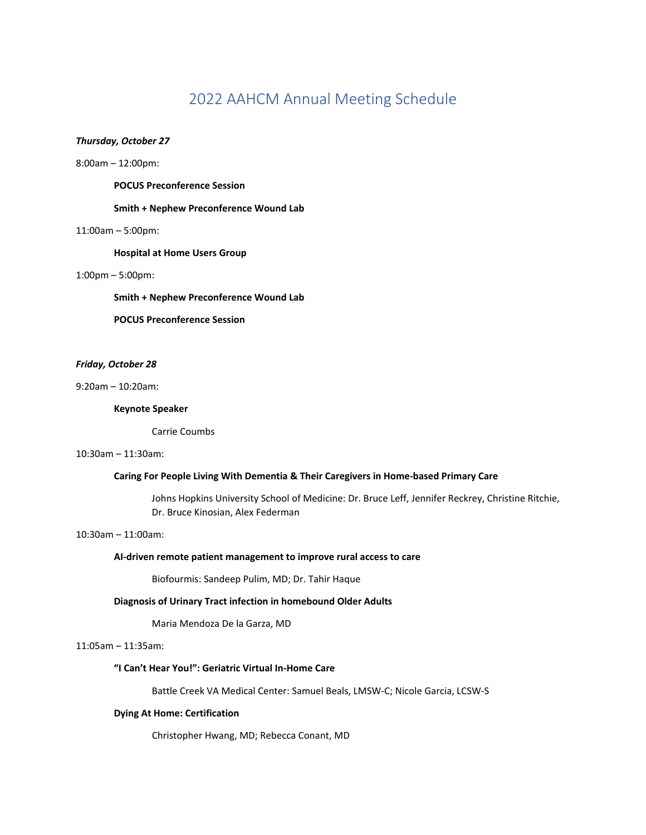# 2022 AAHCM Annual Meeting Schedule

# *Thursday, October 27*

8:00am – 12:00pm:

**POCUS Preconference Session**

## **Smith + Nephew Preconference Wound Lab**

#### 11:00am – 5:00pm:

**Hospital at Home Users Group**

#### 1:00pm – 5:00pm:

**Smith + Nephew Preconference Wound Lab**

**POCUS Preconference Session**

# *Friday, October 28*

9:20am – 10:20am:

#### **Keynote Speaker**

Carrie Coumbs

# 10:30am – 11:30am:

# **Caring For People Living With Dementia & Their Caregivers in Home-based Primary Care**

Johns Hopkins University School of Medicine: Dr. Bruce Leff, Jennifer Reckrey, Christine Ritchie, Dr. Bruce Kinosian, Alex Federman

# 10:30am – 11:00am:

# **AI-driven remote patient management to improve rural access to care**

Biofourmis: Sandeep Pulim, MD; Dr. Tahir Haque

#### **Diagnosis of Urinary Tract infection in homebound Older Adults**

Maria Mendoza De la Garza, MD

11:05am – 11:35am:

### **"I Can't Hear You!": Geriatric Virtual In-Home Care**

Battle Creek VA Medical Center: Samuel Beals, LMSW-C; Nicole Garcia, LCSW-S

### **Dying At Home: Certification**

Christopher Hwang, MD; Rebecca Conant, MD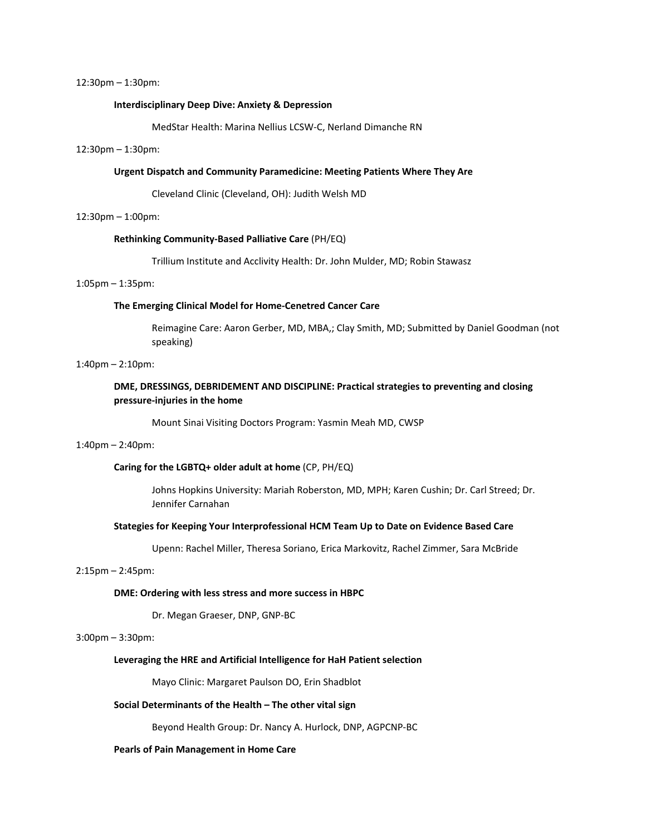#### 12:30pm – 1:30pm:

#### **Interdisciplinary Deep Dive: Anxiety & Depression**

MedStar Health: Marina Nellius LCSW-C, Nerland Dimanche RN

#### 12:30pm – 1:30pm:

#### **Urgent Dispatch and Community Paramedicine: Meeting Patients Where They Are**

Cleveland Clinic (Cleveland, OH): Judith Welsh MD

#### 12:30pm – 1:00pm:

#### **Rethinking Community-Based Palliative Care** (PH/EQ)

Trillium Institute and Acclivity Health: Dr. John Mulder, MD; Robin Stawasz

#### 1:05pm – 1:35pm:

# **The Emerging Clinical Model for Home-Cenetred Cancer Care**

Reimagine Care: Aaron Gerber, MD, MBA,; Clay Smith, MD; Submitted by Daniel Goodman (not speaking)

# 1:40pm – 2:10pm:

# **DME, DRESSINGS, DEBRIDEMENT AND DISCIPLINE: Practical strategies to preventing and closing pressure-injuries in the home**

Mount Sinai Visiting Doctors Program: Yasmin Meah MD, CWSP

# 1:40pm – 2:40pm:

#### **Caring for the LGBTQ+ older adult at home** (CP, PH/EQ)

Johns Hopkins University: Mariah Roberston, MD, MPH; Karen Cushin; Dr. Carl Streed; Dr. Jennifer Carnahan

#### **Stategies for Keeping Your Interprofessional HCM Team Up to Date on Evidence Based Care**

Upenn: Rachel Miller, Theresa Soriano, Erica Markovitz, Rachel Zimmer, Sara McBride

### 2:15pm – 2:45pm:

#### **DME: Ordering with less stress and more success in HBPC**

Dr. Megan Graeser, DNP, GNP-BC

# 3:00pm – 3:30pm:

# **Leveraging the HRE and Artificial Intelligence for HaH Patient selection**

Mayo Clinic: Margaret Paulson DO, Erin Shadblot

#### **Social Determinants of the Health – The other vital sign**

Beyond Health Group: Dr. Nancy A. Hurlock, DNP, AGPCNP-BC

#### **Pearls of Pain Management in Home Care**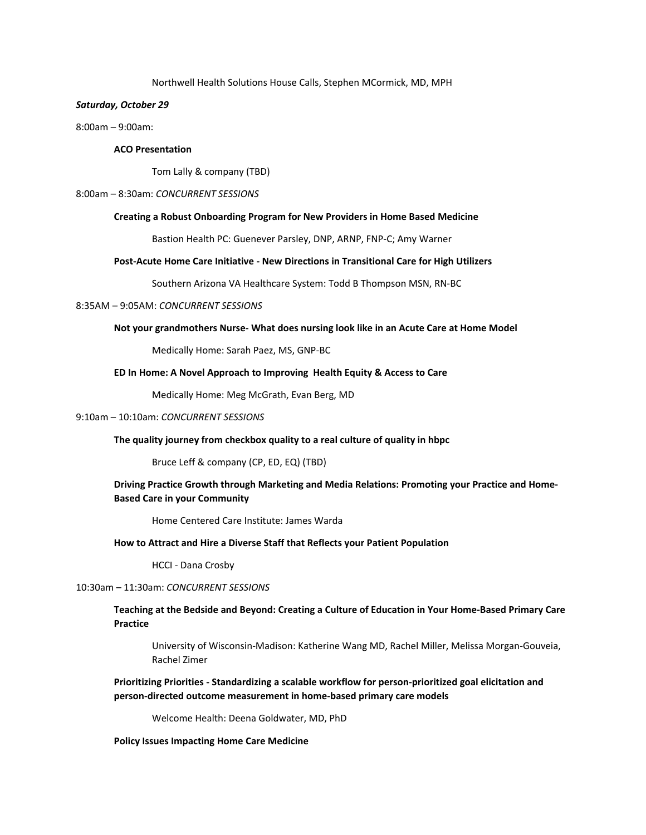#### Northwell Health Solutions House Calls, Stephen MCormick, MD, MPH

### *Saturday, October 29*

8:00am – 9:00am:

# **ACO Presentation**

Tom Lally & company (TBD)

#### 8:00am – 8:30am: *CONCURRENT SESSIONS*

#### **Creating a Robust Onboarding Program for New Providers in Home Based Medicine**

Bastion Health PC: Guenever Parsley, DNP, ARNP, FNP-C; Amy Warner

#### **Post-Acute Home Care Initiative - New Directions in Transitional Care for High Utilizers**

Southern Arizona VA Healthcare System: Todd B Thompson MSN, RN-BC

### 8:35AM – 9:05AM: *CONCURRENT SESSIONS*

#### **Not your grandmothers Nurse- What does nursing look like in an Acute Care at Home Model**

Medically Home: Sarah Paez, MS, GNP-BC

#### **ED In Home: A Novel Approach to Improving Health Equity & Access to Care**

Medically Home: Meg McGrath, Evan Berg, MD

# 9:10am – 10:10am: *CONCURRENT SESSIONS*

#### **The quality journey from checkbox quality to a real culture of quality in hbpc**

Bruce Leff & company (CP, ED, EQ) (TBD)

# **Driving Practice Growth through Marketing and Media Relations: Promoting your Practice and Home-Based Care in your Community**

Home Centered Care Institute: James Warda

#### **How to Attract and Hire a Diverse Staff that Reflects your Patient Population**

HCCI - Dana Crosby

### 10:30am – 11:30am: *CONCURRENT SESSIONS*

# **Teaching at the Bedside and Beyond: Creating a Culture of Education in Your Home-Based Primary Care Practice**

University of Wisconsin-Madison: Katherine Wang MD, Rachel Miller, Melissa Morgan-Gouveia, Rachel Zimer

# **Prioritizing Priorities - Standardizing a scalable workflow for person-prioritized goal elicitation and person-directed outcome measurement in home-based primary care models**

Welcome Health: Deena Goldwater, MD, PhD

#### **Policy Issues Impacting Home Care Medicine**